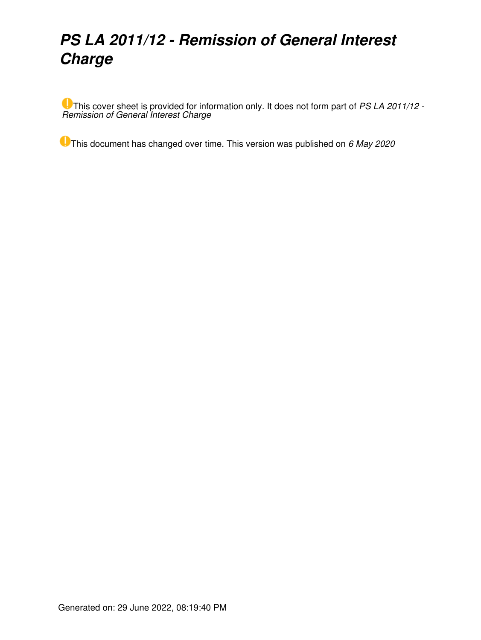# *PS LA 2011/12 - Remission of General Interest Charge*

This cover sheet is provided for information only. It does not form part of *PS LA 2011/12 - Remission of General Interest Charge*

This document has changed over time. This version was published on *6 May 2020*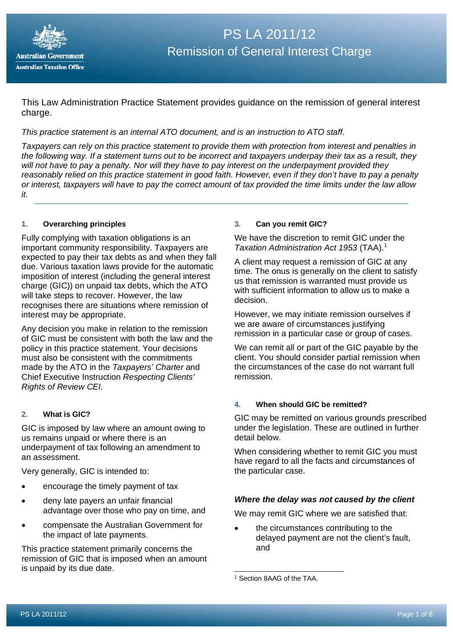

This Law Administration Practice Statement provides guidance on the remission of general interest charge.

*This practice statement is an internal ATO document, and is an instruction to ATO staff.*

*Taxpayers can rely on this practice statement to provide them with protection from interest and penalties in the following way. If a statement turns out to be incorrect and taxpayers underpay their tax as a result, they will not have to pay a penalty. Nor will they have to pay interest on the underpayment provided they reasonably relied on this practice statement in good faith. However, even if they don't have to pay a penalty or interest, taxpayers will have to pay the correct amount of tax provided the time limits under the law allow it.*

#### **1. Overarching principles**

Fully complying with taxation obligations is an important community responsibility. Taxpayers are expected to pay their tax debts as and when they fall due. Various taxation laws provide for the automatic imposition of interest (including the general interest charge (GIC)) on unpaid tax debts, which the ATO will take steps to recover. However, the law recognises there are situations where remission of interest may be appropriate.

Any decision you make in relation to the remission of GIC must be consistent with both the law and the policy in this practice statement. Your decisions must also be consistent with the commitments made by the ATO in the *Taxpayers' Charter* and Chief Executive Instruction *Respecting Clients' Rights of Review CEI.*

## **2. What is GIC?**

GIC is imposed by law where an amount owing to us remains unpaid or where there is an underpayment of tax following an amendment to an assessment.

Very generally, GIC is intended to:

- encourage the timely payment of tax
- deny late payers an unfair financial advantage over those who pay on time, and
- compensate the Australian Government for the impact of late payments.

<span id="page-1-0"></span>This practice statement primarily concerns the remission of GIC that is imposed when an amount is unpaid by its due date.

#### **3. Can you remit GIC?**

We have the discretion to remit GIC under the *Taxation Administration Act 1953* (TAA).[1](#page-1-0)

A client may request a remission of GIC at any time. The onus is generally on the client to satisfy us that remission is warranted must provide us with sufficient information to allow us to make a decision.

However, we may initiate remission ourselves if we are aware of circumstances justifying remission in a particular case or group of cases.

We can remit all or part of the GIC payable by the client. You should consider partial remission when the circumstances of the case do not warrant full remission.

# **4. When should GIC be remitted?**

GIC may be remitted on various grounds prescribed under the legislation. These are outlined in further detail below.

When considering whether to remit GIC you must have regard to all the facts and circumstances of the particular case.

## *Where the delay was not caused by the client*

We may remit GIC where we are satisfied that:

the circumstances contributing to the delayed payment are not the client's fault, and

<sup>1</sup> Section 8AAG of the TAA.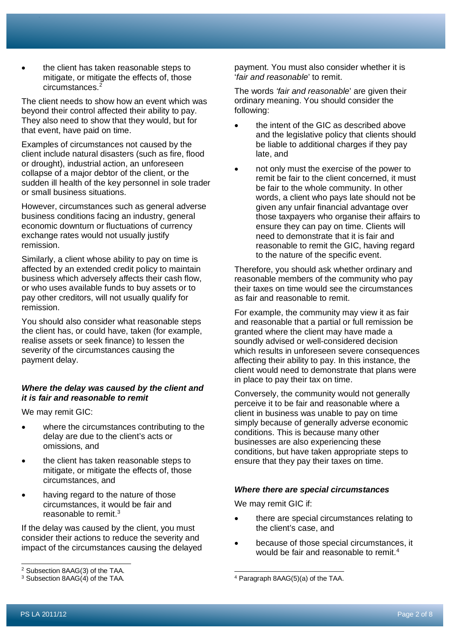• the client has taken reasonable steps to mitigate, or mitigate the effects of, those circumstances.<sup>[2](#page-2-0)</sup>

The client needs to show how an event which was beyond their control affected their ability to pay. They also need to show that they would, but for that event, have paid on time.

Examples of circumstances not caused by the client include natural disasters (such as fire, flood or drought), industrial action, an unforeseen collapse of a major debtor of the client, or the sudden ill health of the key personnel in sole trader or small business situations.

However, circumstances such as general adverse business conditions facing an industry, general economic downturn or fluctuations of currency exchange rates would not usually justify remission.

Similarly, a client whose ability to pay on time is affected by an extended credit policy to maintain business which adversely affects their cash flow, or who uses available funds to buy assets or to pay other creditors, will not usually qualify for remission.

You should also consider what reasonable steps the client has, or could have, taken (for example, realise assets or seek finance) to lessen the severity of the circumstances causing the payment delay.

## *Where the delay was caused by the client and it is fair and reasonable to remit*

We may remit GIC:

- where the circumstances contributing to the delay are due to the client's acts or omissions, and
- the client has taken reasonable steps to mitigate, or mitigate the effects of, those circumstances, and
- having regard to the nature of those circumstances, it would be fair and reasonable to remit[.3](#page-2-1)

If the delay was caused by the client, you must consider their actions to reduce the severity and impact of the circumstances causing the delayed payment. You must also consider whether it is '*fair and reasonable*' to remit.

The words *'fair and reasonable*' are given their ordinary meaning. You should consider the following:

- the intent of the GIC as described above and the legislative policy that clients should be liable to additional charges if they pay late, and
- not only must the exercise of the power to remit be fair to the client concerned, it must be fair to the whole community. In other words, a client who pays late should not be given any unfair financial advantage over those taxpayers who organise their affairs to ensure they can pay on time. Clients will need to demonstrate that it is fair and reasonable to remit the GIC, having regard to the nature of the specific event.

Therefore, you should ask whether ordinary and reasonable members of the community who pay their taxes on time would see the circumstances as fair and reasonable to remit.

For example, the community may view it as fair and reasonable that a partial or full remission be granted where the client may have made a soundly advised or well-considered decision which results in unforeseen severe consequences affecting their ability to pay. In this instance, the client would need to demonstrate that plans were in place to pay their tax on time.

Conversely, the community would not generally perceive it to be fair and reasonable where a client in business was unable to pay on time simply because of generally adverse economic conditions. This is because many other businesses are also experiencing these conditions, but have taken appropriate steps to ensure that they pay their taxes on time.

# *Where there are special circumstances*

We may remit GIC if:

- there are special circumstances relating to the client's case, and
- because of those special circumstances, it would be fair and reasonable to remit.<sup>[4](#page-2-1)</sup>

<span id="page-2-0"></span><sup>2</sup> Subsection 8AAG(3) of the TAA.

<span id="page-2-1"></span><sup>3</sup> Subsection 8AAG(4) of the TAA*.*

<sup>4</sup> Paragraph 8AAG(5)(a) of the TAA.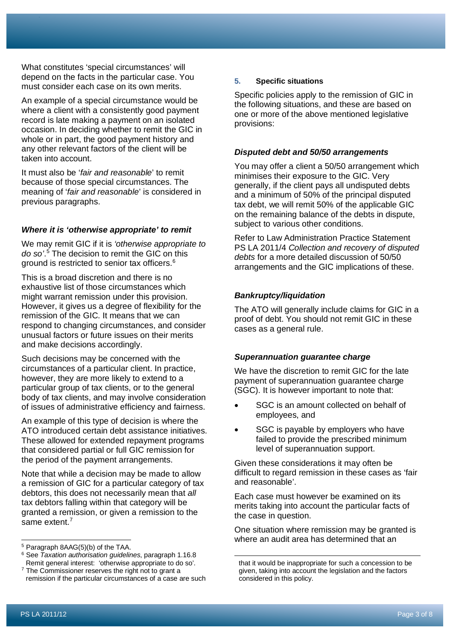What constitutes 'special circumstances' will depend on the facts in the particular case. You must consider each case on its own merits.

An example of a special circumstance would be where a client with a consistently good payment record is late making a payment on an isolated occasion. In deciding whether to remit the GIC in whole or in part, the good payment history and any other relevant factors of the client will be taken into account.

It must also be '*fair and reasonable*' to remit because of those special circumstances. The meaning of '*fair and reasonable*' is considered in previous paragraphs.

## *Where it is 'otherwise appropriate' to remit*

We may remit GIC if it is *'otherwise appropriate to do so'*. [5](#page-3-0) The decision to remit the GIC on this ground is restricted to senior tax officers.[6](#page-3-1)

This is a broad discretion and there is no exhaustive list of those circumstances which might warrant remission under this provision. However, it gives us a degree of flexibility for the remission of the GIC. It means that we can respond to changing circumstances, and consider unusual factors or future issues on their merits and make decisions accordingly.

Such decisions may be concerned with the circumstances of a particular client. In practice, however, they are more likely to extend to a particular group of tax clients, or to the general body of tax clients, and may involve consideration of issues of administrative efficiency and fairness.

An example of this type of decision is where the ATO introduced certain debt assistance initiatives. These allowed for extended repayment programs that considered partial or full GIC remission for the period of the payment arrangements.

Note that while a decision may be made to allow a remission of GIC for a particular category of tax debtors, this does not necessarily mean that *all* tax debtors falling within that category will be granted a remission, or given a remission to the same extent.<sup>[7](#page-3-2)</sup>

#### **5. Specific situations**

Specific policies apply to the remission of GIC in the following situations, and these are based on one or more of the above mentioned legislative provisions:

#### *Disputed debt and 50/50 arrangements*

You may offer a client a 50/50 arrangement which minimises their exposure to the GIC. Very generally, if the client pays all undisputed debts and a minimum of 50% of the principal disputed tax debt, we will remit 50% of the applicable GIC on the remaining balance of the debts in dispute, subiect to various other conditions.

Refer to Law Administration Practice Statement PS LA 2011/4 *Collection and recovery of disputed debts* for a more detailed discussion of 50/50 arrangements and the GIC implications of these.

## *Bankruptcy/liquidation*

The ATO will generally include claims for GIC in a proof of debt. You should not remit GIC in these cases as a general rule.

#### *Superannuation guarantee charge*

We have the discretion to remit GIC for the late payment of superannuation guarantee charge (SGC). It is however important to note that:

- SGC is an amount collected on behalf of employees, and
- SGC is payable by employers who have failed to provide the prescribed minimum level of superannuation support.

Given these considerations it may often be difficult to regard remission in these cases as 'fair and reasonable'.

Each case must however be examined on its merits taking into account the particular facts of the case in question.

One situation where remission may be granted is where an audit area has determined that an

<span id="page-3-0"></span><sup>5</sup> Paragraph 8AAG(5)(b) of the TAA.

<span id="page-3-1"></span><sup>6</sup> See *Taxation authorisation guidelines*, paragraph 1.16.8 Remit general interest: 'otherwise appropriate to do so'.

<span id="page-3-2"></span> $7$  The Commissioner reserves the right not to grant a remission if the particular circumstances of a case are such

that it would be inappropriate for such a concession to be given, taking into account the legislation and the factors considered in this policy.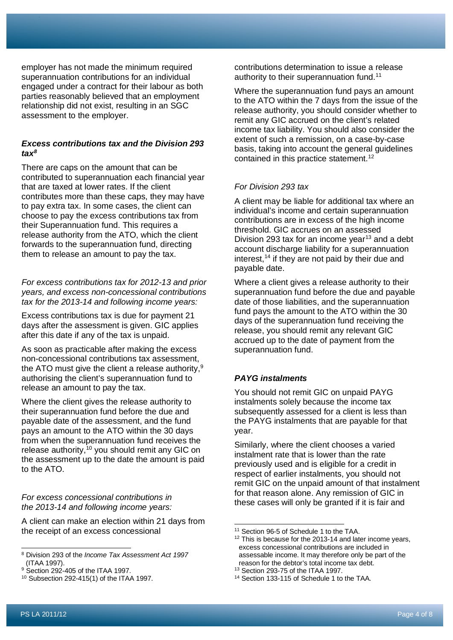employer has not made the minimum required superannuation contributions for an individual engaged under a contract for their labour as both parties reasonably believed that an employment relationship did not exist, resulting in an SGC assessment to the employer.

## *Excess contributions tax and the Division 293 tax[8](#page-4-0)*

There are caps on the amount that can be contributed to superannuation each financial year that are taxed at lower rates. If the client contributes more than these caps, they may have to pay extra tax. In some cases, the client can choose to pay the excess contributions tax from their Superannuation fund. This requires a release authority from the ATO, which the client forwards to the superannuation fund, directing them to release an amount to pay the tax.

*For excess contributions tax for 2012-13 and prior years, and excess non-concessional contributions tax for the 2013-14 and following income years:*

Excess contributions tax is due for payment 21 days after the assessment is given. GIC applies after this date if any of the tax is unpaid.

As soon as practicable after making the excess non-concessional contributions tax assessment, the ATO must give the client a release authority, $^{\rm 9}$  $^{\rm 9}$  $^{\rm 9}$ authorising the client's superannuation fund to release an amount to pay the tax.

Where the client gives the release authority to their superannuation fund before the due and payable date of the assessment, and the fund pays an amount to the ATO within the 30 days from when the superannuation fund receives the release authority,<sup>[10](#page-4-2)</sup> you should remit any GIC on the assessment up to the date the amount is paid to the ATO.

## *For excess concessional contributions in the 2013-14 and following income years:*

<span id="page-4-3"></span>A client can make an election within 21 days from the receipt of an excess concessional

contributions determination to issue a release authority to their superannuation fund.<sup>[11](#page-4-3)</sup>

Where the superannuation fund pays an amount to the ATO within the 7 days from the issue of the release authority, you should consider whether to remit any GIC accrued on the client's related income tax liability. You should also consider the extent of such a remission, on a case-by-case basis, taking into account the general guidelines contained in this practice statement.<sup>[12](#page-4-4)</sup>

## *For Division 293 tax*

A client may be liable for additional tax where an individual's income and certain superannuation contributions are in excess of the high income threshold. GIC accrues on an assessed Division 293 tax for an income year<sup>13</sup> and a debt account discharge liability for a superannuation interest, $14$  if they are not paid by their due and payable date.

Where a client gives a release authority to their superannuation fund before the due and payable date of those liabilities, and the superannuation fund pays the amount to the ATO within the 30 days of the superannuation fund receiving the release, you should remit any relevant GIC accrued up to the date of payment from the superannuation fund.

## *PAYG instalments*

You should not remit GIC on unpaid PAYG instalments solely because the income tax subsequently assessed for a client is less than the PAYG instalments that are payable for that year.

Similarly, where the client chooses a varied instalment rate that is lower than the rate previously used and is eligible for a credit in respect of earlier instalments, you should not remit GIC on the unpaid amount of that instalment for that reason alone. Any remission of GIC in these cases will only be granted if it is fair and

<span id="page-4-4"></span><span id="page-4-0"></span><sup>8</sup> Division 293 of the *Income Tax Assessment Act 1997*  (ITAA 1997).

<span id="page-4-1"></span><sup>&</sup>lt;sup>9</sup> Section 292-405 of the ITAA 1997.

<span id="page-4-2"></span><sup>10</sup> Subsection 292-415(1) of the ITAA 1997.

<sup>11</sup> Section 96-5 of Schedule 1 to the TAA.

<sup>&</sup>lt;sup>12</sup> This is because for the 2013-14 and later income years, excess concessional contributions are included in assessable income. It may therefore only be part of the reason for the debtor's total income tax debt.

<sup>13</sup> Section 293-75 of the ITAA 1997.

<sup>14</sup> Section 133-115 of Schedule 1 to the TAA.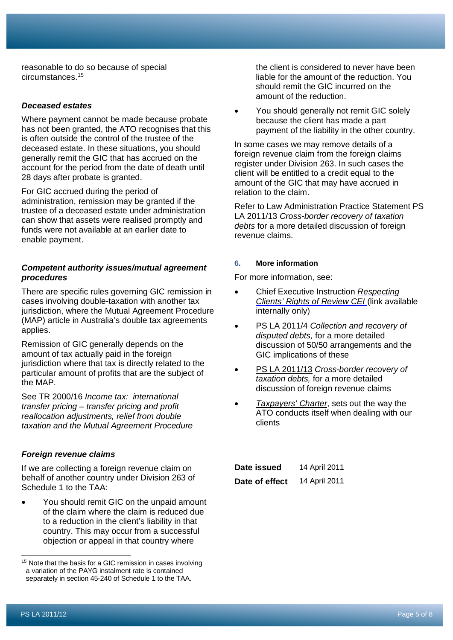reasonable to do so because of special circumstances.[15](#page-5-0)

## *Deceased estates*

Where payment cannot be made because probate has not been granted, the ATO recognises that this is often outside the control of the trustee of the deceased estate. In these situations, you should generally remit the GIC that has accrued on the account for the period from the date of death until 28 days after probate is granted.

For GIC accrued during the period of administration, remission may be granted if the trustee of a deceased estate under administration can show that assets were realised promptly and funds were not available at an earlier date to enable payment.

#### *Competent authority issues/mutual agreement procedures*

There are specific rules governing GIC remission in cases involving double-taxation with another tax jurisdiction, where the Mutual Agreement Procedure (MAP) article in Australia's double tax agreements applies.

Remission of GIC generally depends on the amount of tax actually paid in the foreign jurisdiction where that tax is directly related to the particular amount of profits that are the subject of the MAP.

See TR 2000/16 *Income tax: international transfer pricing – transfer pricing and profit reallocation adjustments, relief from double taxation and the Mutual Agreement Procedure*

#### *Foreign revenue claims*

If we are collecting a foreign revenue claim on behalf of another country under Division 263 of Schedule 1 to the TAA:

• You should remit GIC on the unpaid amount of the claim where the claim is reduced due to a reduction in the client's liability in that country. This may occur from a successful objection or appeal in that country where

the client is considered to never have been liable for the amount of the reduction. You should remit the GIC incurred on the amount of the reduction.

• You should generally not remit GIC solely because the client has made a part payment of the liability in the other country.

In some cases we may remove details of a foreign revenue claim from the foreign claims register under Division 263. In such cases the client will be entitled to a credit equal to the amount of the GIC that may have accrued in relation to the claim.

Refer to Law Administration Practice Statement PS LA 2011/13 *Cross-border recovery of taxation debts* for a more detailed discussion of foreign revenue claims.

#### **6. More information**

For more information, see:

- Chief Executive Instruction *[Respecting](http://myato/Governance/CEIs/Pages/Respecting-Clients)  [Clients' Rights of Review CEI](http://myato/Governance/CEIs/Pages/Respecting-Clients)* (link available internally only)
- PS LA [2011/4](https://www.ato.gov.au/law/view/document?DocID=PSR/PS20114/NAT/ATO/00001) *Collection and recovery of disputed debts,* for a more detailed discussion of 50/50 arrangements and the GIC implications of these
- PS LA [2011/13](https://www.ato.gov.au/law/view/document?DocID=PSR/PS201113/NAT/ATO/00001) *Cross-border recovery of taxation debts,* for a more detailed discussion of foreign revenue claims
- *[Taxpayers'](https://www.ato.gov.au/About-ATO/Commitments-and-reporting/Taxpayers--Charter/) Charter*, sets out the way the ATO conducts itself when dealing with our clients

| Date issued    | 14 April 2011 |
|----------------|---------------|
| Date of effect | 14 April 2011 |

<span id="page-5-0"></span><sup>&</sup>lt;sup>15</sup> Note that the basis for a GIC remission in cases involving a variation of the PAYG instalment rate is contained separately in section 45-240 of Schedule 1 to the TAA.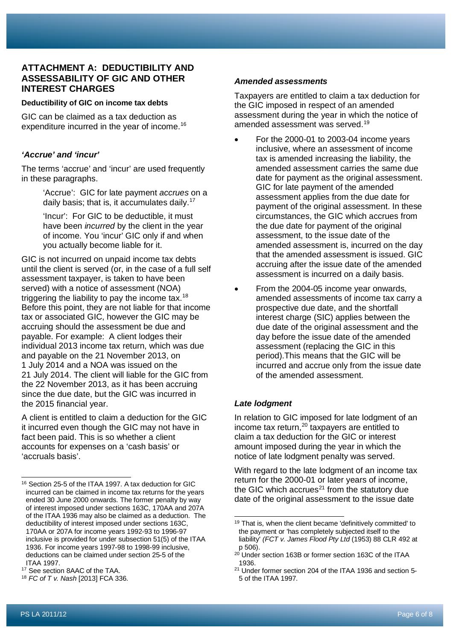## **ATTACHMENT A: DEDUCTIBILITY AND ASSESSABILITY OF GIC AND OTHER INTEREST CHARGES**

#### **Deductibility of GIC on income tax debts**

GIC can be claimed as a tax deduction as expenditure incurred in the year of income. [16](#page-6-0)

## *'Accrue' and 'incur'*

The terms 'accrue' and 'incur' are used frequently in these paragraphs.

> 'Accrue': GIC for late payment *accrues* on a daily basis; that is, it accumulates daily. [17](#page-6-1)

'Incur': For GIC to be deductible, it must have been *incurred* by the client in the year of income. You 'incur' GIC only if and when you actually become liable for it.

GIC is not incurred on unpaid income tax debts until the client is served (or, in the case of a full self assessment taxpayer, is taken to have been served) with a notice of assessment (NOA) triggering the liability to pay the income tax.<sup>[18](#page-6-2)</sup> Before this point, they are not liable for that income tax or associated GIC, however the GIC may be accruing should the assessment be due and payable. For example: A client lodges their individual 2013 income tax return, which was due and payable on the 21 November 2013, on 1 July 2014 and a NOA was issued on the 21 July 2014. The client will liable for the GIC from the 22 November 2013, as it has been accruing since the due date, but the GIC was incurred in the 2015 financial year.

A client is entitled to claim a deduction for the GIC it incurred even though the GIC may not have in fact been paid. This is so whether a client accounts for expenses on a 'cash basis' or 'accruals basis'.

# *Amended assessments*

Taxpayers are entitled to claim a tax deduction for the GIC imposed in respect of an amended assessment during the year in which the notice of amended assessment was served.[19](#page-6-3)

- For the 2000-01 to 2003-04 income years inclusive, where an assessment of income tax is amended increasing the liability, the amended assessment carries the same due date for payment as the original assessment. GIC for late payment of the amended assessment applies from the due date for payment of the original assessment. In these circumstances, the GIC which accrues from the due date for payment of the original assessment, to the issue date of the amended assessment is, incurred on the day that the amended assessment is issued. GIC accruing after the issue date of the amended assessment is incurred on a daily basis.
- From the 2004-05 income year onwards, amended assessments of income tax carry a prospective due date, and the shortfall interest charge (SIC) applies between the due date of the original assessment and the day before the issue date of the amended assessment (replacing the GIC in this period).This means that the GIC will be incurred and accrue only from the issue date of the amended assessment.

# *Late lodgment*

In relation to GIC imposed for late lodgment of an income tax return, [20](#page-6-4) taxpayers are entitled to claim a tax deduction for the GIC or interest amount imposed during the year in which the notice of late lodgment penalty was served.

With regard to the late lodgment of an income tax return for the 2000-01 or later years of income, the GIC which accrues<sup>21</sup> from the statutory due date of the original assessment to the issue date

<span id="page-6-3"></span><span id="page-6-0"></span><sup>16</sup> Section 25-5 of the ITAA 1997. A tax deduction for GIC incurred can be claimed in income tax returns for the years ended 30 June 2000 onwards. The former penalty by way of interest imposed under sections 163C, 170AA and 207A of the ITAA 1936 may also be claimed as a deduction. The deductibility of interest imposed under sections 163C, 170AA or 207A for income years 1992-93 to 1996-97 inclusive is provided for under subsection 51(5) of the ITAA 1936. For income years 1997-98 to 1998-99 inclusive, deductions can be claimed under section 25-5 of the ITAA 1997.

<span id="page-6-4"></span><span id="page-6-1"></span><sup>17</sup> See section 8AAC of the TAA.

<span id="page-6-2"></span><sup>18</sup> *FC of T v. Nash* [2013] FCA 336.

<sup>&</sup>lt;sup>19</sup> That is, when the client became 'definitively committed' to the payment or 'has completely subjected itself to the liability' *(FCT v. James Flood Pty Ltd* (1953) 88 CLR 492 at p 506).

<sup>&</sup>lt;sup>20</sup> Under section 163B or former section 163C of the ITAA 1936.

<sup>21</sup> Under former section 204 of the ITAA 1936 and section 5- 5 of the ITAA 1997.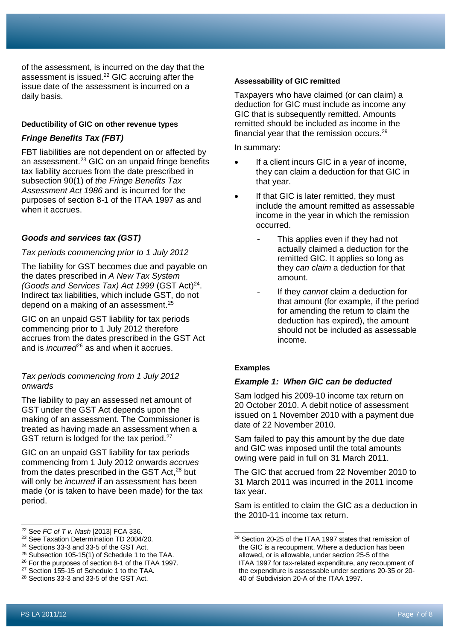of the assessment, is incurred on the day that the assessment is issued[.22](#page-7-0) GIC accruing after the issue date of the assessment is incurred on a daily basis.

#### **Deductibility of GIC on other revenue types**

## *Fringe Benefits Tax (FBT)*

FBT liabilities are not dependent on or affected by an assessment.<sup>[23](#page-7-1)</sup> GIC on an unpaid fringe benefits tax liability accrues from the date prescribed in subsection 90(1) of *the Fringe Benefits Tax Assessment Act 1986* and is incurred for the purposes of section 8-1 of the ITAA 1997 as and when it accrues.

## *Goods and services tax (GST)*

#### *Tax periods commencing prior to 1 July 2012*

The liability for GST becomes due and payable on the dates prescribed in *A New Tax System (Goods and Services Tax) Act 1999 (GST Act)<sup>24</sup>*. Indirect tax liabilities, which include GST, do not depend on a making of an assessment.<sup>[25](#page-7-3)</sup>

GIC on an unpaid GST liability for tax periods commencing prior to 1 July 2012 therefore accrues from the dates prescribed in the GST Act and is *incurred*<sup>[26](#page-7-4)</sup> as and when it accrues.

## *Tax periods commencing from 1 July 2012 onwards*

The liability to pay an assessed net amount of GST under the GST Act depends upon the making of an assessment. The Commissioner is treated as having made an assessment when a GST return is lodged for the tax period.<sup>[27](#page-7-5)</sup>

GIC on an unpaid GST liability for tax periods commencing from 1 July 2012 onwards *accrues* from the dates prescribed in the GST Act.<sup>[28](#page-7-6)</sup> but will only be *incurred* if an assessment has been made (or is taken to have been made) for the tax period.

## **Assessability of GIC remitted**

Taxpayers who have claimed (or can claim) a deduction for GIC must include as income any GIC that is subsequently remitted. Amounts remitted should be included as income in the financial year that the remission occurs.[29](#page-7-1)

In summary:

- If a client incurs GIC in a year of income, they can claim a deduction for that GIC in that year.
- If that GIC is later remitted, they must include the amount remitted as assessable income in the year in which the remission occurred.
	- This applies even if they had not actually claimed a deduction for the remitted GIC. It applies so long as they *can claim* a deduction for that amount.
	- If they *cannot* claim a deduction for that amount (for example, if the period for amending the return to claim the deduction has expired), the amount should not be included as assessable income.

## **Examples**

## *Example 1: When GIC can be deducted*

Sam lodged his 2009-10 income tax return on 20 October 2010. A debit notice of assessment issued on 1 November 2010 with a payment due date of 22 November 2010.

Sam failed to pay this amount by the due date and GIC was imposed until the total amounts owing were paid in full on 31 March 2011.

The GIC that accrued from 22 November 2010 to 31 March 2011 was incurred in the 2011 income tax year.

Sam is entitled to claim the GIC as a deduction in the 2010-11 income tax return.

<span id="page-7-0"></span><sup>22</sup> See *FC of T v. Nash* [2013] FCA 336.

<span id="page-7-1"></span><sup>&</sup>lt;sup>23</sup> See Taxation Determination TD 2004/20.

<span id="page-7-2"></span><sup>24</sup> Sections 33-3 and 33-5 of the GST Act.

<span id="page-7-3"></span><sup>&</sup>lt;sup>25</sup> Subsection 105-15(1) of Schedule 1 to the TAA.

<span id="page-7-4"></span><sup>26</sup> For the purposes of section 8-1 of the ITAA 1997.

<span id="page-7-5"></span><sup>&</sup>lt;sup>27</sup> Section 155-15 of Schedule 1 to the TAA. <sup>28</sup> Sections 33-3 and 33-5 of the GST Act.

<span id="page-7-6"></span>

<sup>29</sup> Section 20-25 of the ITAA 1997 states that remission of the GIC is a recoupment. Where a deduction has been allowed, or is allowable, under section 25-5 of the ITAA 1997 for tax-related expenditure, any recoupment of the expenditure is assessable under sections 20-35 or 20- 40 of Subdivision 20-A of the ITAA 1997.